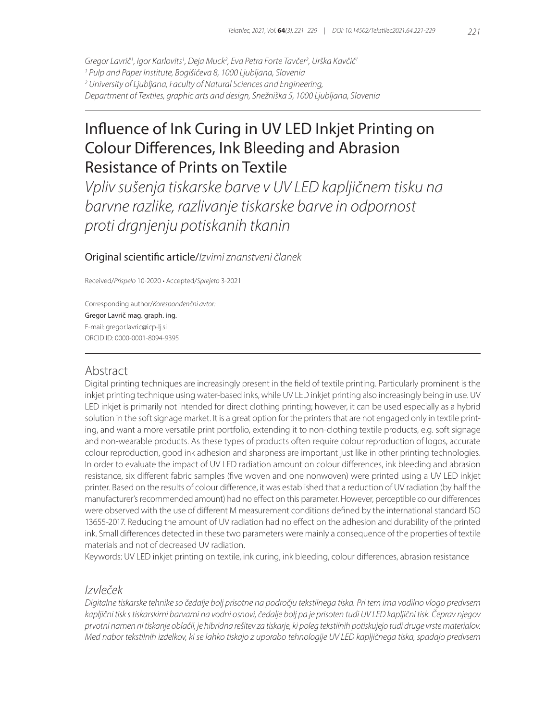*Gregor Lavrič1 , Igor Karlovits1 , Deja Muck2 , Eva Petra Forte Tavčer2 , Urška Kavčič1 1 Pulp and Paper Institute, Bogišićeva 8, 1000 Ljubljana, Slovenia 2 University of Ljubljana, Faculty of Natural Sciences and Engineering, Department of Textiles, graphic arts and design, Snežniška 5, 1000 Ljubljana, Slovenia*

# Influence of Ink Curing in UV LED Inkjet Printing on Colour Differences, Ink Bleeding and Abrasion Resistance of Prints on Textile

*Vpliv sušenja tiskarske barve v UV LED kapljičnem tisku na barvne razlike, razlivanje tiskarske barve in odpornost proti drgnjenju potiskanih tkanin*

Original scientific article/*Izvirni znanstveni članek*

Received/*Prispelo* 10-2020 • Accepted/*Sprejeto* 3-2021

Corresponding author/*Korespondenčni avtor:* Gregor Lavrič mag. graph. ing. E-mail: gregor.lavric@icp-lj.si ORCID ID: 0000-0001-8094-9395

# Abstract

Digital printing techniques are increasingly present in the field of textile printing. Particularly prominent is the inkjet printing technique using water-based inks, while UV LED inkjet printing also increasingly being in use. UV LED inkjet is primarily not intended for direct clothing printing; however, it can be used especially as a hybrid solution in the soft signage market. It is a great option for the printers that are not engaged only in textile printing, and want a more versatile print portfolio, extending it to non-clothing textile products, e.g. soft signage and non-wearable products. As these types of products often require colour reproduction of logos, accurate colour reproduction, good ink adhesion and sharpness are important just like in other printing technologies. In order to evaluate the impact of UV LED radiation amount on colour differences, ink bleeding and abrasion resistance, six different fabric samples (five woven and one nonwoven) were printed using a UV LED inkjet printer. Based on the results of colour difference, it was established that a reduction of UV radiation (by half the manufacturer's recommended amount) had no effect on this parameter. However, perceptible colour differences were observed with the use of different M measurement conditions defined by the international standard ISO 13655-2017. Reducing the amount of UV radiation had no effect on the adhesion and durability of the printed ink. Small differences detected in these two parameters were mainly a consequence of the properties of textile materials and not of decreased UV radiation.

Keywords: UV LED inkjet printing on textile, ink curing, ink bleeding, colour differences, abrasion resistance

## *Izvleček*

*Digitalne tiskarske tehnike so čedalje bolj prisotne na področju tekstilnega tiska. Pri tem ima vodilno vlogo predvsem kapljični tisk s tiskarskimi barvami na vodni osnovi, čedalje bolj pa je prisoten tudi UV LED kapljični tisk. Čeprav njegov prvotni namen ni tiskanje oblačil, je hibridna rešitev za tiskarje, ki poleg tekstilnih potiskujejo tudi druge vrste materialov. Med nabor tekstilnih izdelkov, ki se lahko tiskajo z uporabo tehnologije UV LED kapljičnega tiska, spadajo predvsem*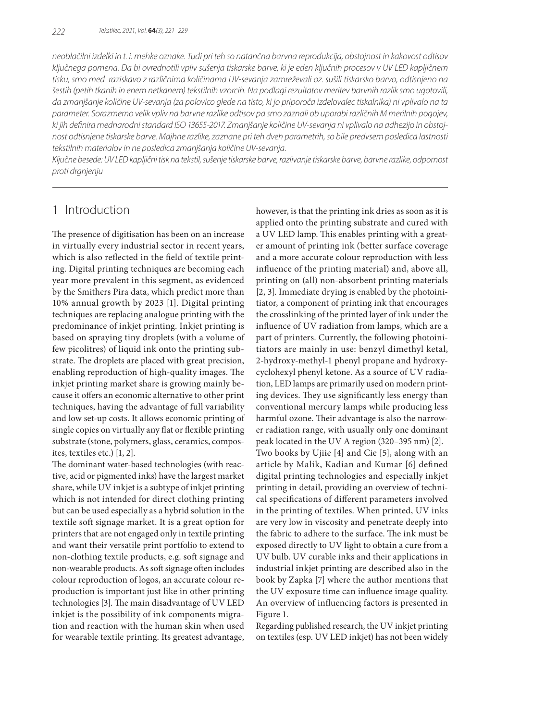*neoblačilni izdelki in t. i. mehke oznake. Tudi pri teh so natančna barvna reprodukcija, obstojnost in kakovost odtisov ključnega pomena. Da bi ovrednotili vpliv sušenja tiskarske barve, ki je eden ključnih procesov v UV LED kapljičnem tisku, smo med raziskavo z različnima količinama UV-sevanja zamreževali oz. sušili tiskarsko barvo, odtisnjeno na šestih (petih tkanih in enem netkanem) tekstilnih vzorcih. Na podlagi rezultatov meritev barvnih razlik smo ugotovili, da zmanjšanje količine UV-sevanja (za polovico glede na tisto, ki jo priporoča izdelovalec tiskalnika) ni vplivalo na ta parameter. Sorazmerno velik vpliv na barvne razlike odtisov pa smo zaznali ob uporabi različnih M merilnih pogojev, ki jih definira mednarodni standard ISO 13655-2017. Zmanjšanje količine UV-sevanja ni vplivalo na adhezijo in obstojnost odtisnjene tiskarske barve. Majhne razlike, zaznane pri teh dveh parametrih, so bile predvsem posledica lastnosti tekstilnih materialov in ne posledica zmanjšanja količine UV-sevanja.*

*Ključne besede: UV LED kapljični tisk na tekstil, sušenje tiskarske barve, razlivanje tiskarske barve, barvne razlike, odpornost proti drgnjenju*

# 1 Introduction

The presence of digitisation has been on an increase in virtually every industrial sector in recent years, which is also reflected in the field of textile printing. Digital printing techniques are becoming each year more prevalent in this segment, as evidenced by the Smithers Pira data, which predict more than 10% annual growth by 2023 [1]. Digital printing techniques are replacing analogue printing with the predominance of inkjet printing. Inkjet printing is based on spraying tiny droplets (with a volume of few picolitres) of liquid ink onto the printing substrate. The droplets are placed with great precision, enabling reproduction of high-quality images. The inkjet printing market share is growing mainly because it offers an economic alternative to other print techniques, having the advantage of full variability and low set-up costs. It allows economic printing of single copies on virtually any flat or flexible printing substrate (stone, polymers, glass, ceramics, composites, textiles etc.) [1, 2].

The dominant water-based technologies (with reactive, acid or pigmented inks) have the largest market share, while UV inkjet is a subtype of inkjet printing which is not intended for direct clothing printing but can be used especially as a hybrid solution in the textile soft signage market. It is a great option for printers that are not engaged only in textile printing and want their versatile print portfolio to extend to non-clothing textile products, e.g. soft signage and non-wearable products. As soft signage often includes colour reproduction of logos, an accurate colour reproduction is important just like in other printing technologies [3]. The main disadvantage of UV LED inkjet is the possibility of ink components migration and reaction with the human skin when used for wearable textile printing. Its greatest advantage,

however, is that the printing ink dries as soon as it is applied onto the printing substrate and cured with a UV LED lamp. This enables printing with a greater amount of printing ink (better surface coverage and a more accurate colour reproduction with less influence of the printing material) and, above all, printing on (all) non-absorbent printing materials [2, 3]. Immediate drying is enabled by the photoinitiator, a component of printing ink that encourages the crosslinking of the printed layer of ink under the influence of UV radiation from lamps, which are a part of printers. Currently, the following photoinitiators are mainly in use: benzyl dimethyl ketal, 2-hydroxy-methyl-1 phenyl propane and hydroxycyclohexyl phenyl ketone. As a source of UV radiation, LED lamps are primarily used on modern printing devices. They use significantly less energy than conventional mercury lamps while producing less harmful ozone. Their advantage is also the narrower radiation range, with usually only one dominant peak located in the UV A region (320–395 nm) [2]. Two books by Ujiie [4] and Cie [5], along with an

article by Malik, Kadian and Kumar [6] defined digital printing technologies and especially inkjet printing in detail, providing an overview of technical specifications of different parameters involved in the printing of textiles. When printed, UV inks are very low in viscosity and penetrate deeply into the fabric to adhere to the surface. The ink must be exposed directly to UV light to obtain a cure from a UV bulb. UV curable inks and their applications in industrial inkjet printing are described also in the book by Zapka [7] where the author mentions that the UV exposure time can influence image quality. An overview of influencing factors is presented in Figure 1.

Regarding published research, the UV inkjet printing on textiles (esp. UV LED inkjet) has not been widely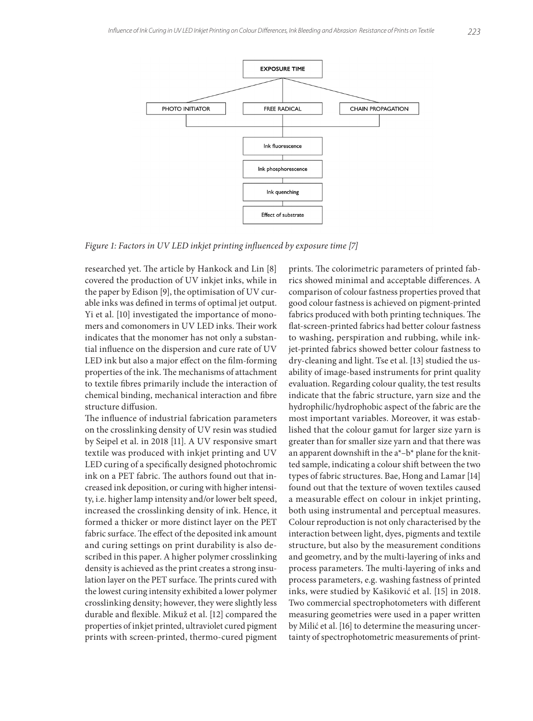

*Figure 1: Factors in UV LED inkjet printing influenced by exposure time [7]*

researched yet. The article by Hankock and Lin [8] covered the production of UV inkjet inks, while in the paper by Edison [9], the optimisation of UV curable inks was defined in terms of optimal jet output. Yi et al. [10] investigated the importance of monomers and comonomers in UV LED inks. Their work indicates that the monomer has not only a substantial influence on the dispersion and cure rate of UV LED ink but also a major effect on the film-forming properties of the ink. The mechanisms of attachment to textile fibres primarily include the interaction of chemical binding, mechanical interaction and fibre structure diffusion.

The influence of industrial fabrication parameters on the crosslinking density of UV resin was studied by Seipel et al. in 2018 [11]. A UV responsive smart textile was produced with inkjet printing and UV LED curing of a specifically designed photochromic ink on a PET fabric. The authors found out that increased ink deposition, or curing with higher intensity, i.e. higher lamp intensity and/or lower belt speed, increased the crosslinking density of ink. Hence, it formed a thicker or more distinct layer on the PET fabric surface. The effect of the deposited ink amount and curing settings on print durability is also described in this paper. A higher polymer crosslinking density is achieved as the print creates a strong insulation layer on the PET surface. The prints cured with the lowest curing intensity exhibited a lower polymer crosslinking density; however, they were slightly less durable and flexible. Mikuž et al. [12] compared the properties of inkjet printed, ultraviolet cured pigment prints with screen-printed, thermo-cured pigment

prints. The colorimetric parameters of printed fabrics showed minimal and acceptable differences. A comparison of colour fastness properties proved that good colour fastness is achieved on pigment-printed fabrics produced with both printing techniques. The flat-screen-printed fabrics had better colour fastness to washing, perspiration and rubbing, while inkjet-printed fabrics showed better colour fastness to dry-cleaning and light. Tse et al. [13] studied the usability of image-based instruments for print quality evaluation. Regarding colour quality, the test results indicate that the fabric structure, yarn size and the hydrophilic/hydrophobic aspect of the fabric are the most important variables. Moreover, it was established that the colour gamut for larger size yarn is greater than for smaller size yarn and that there was an apparent downshift in the a\*–b\* plane for the knitted sample, indicating a colour shift between the two types of fabric structures. Bae, Hong and Lamar [14] found out that the texture of woven textiles caused a measurable effect on colour in inkjet printing, both using instrumental and perceptual measures. Colour reproduction is not only characterised by the interaction between light, dyes, pigments and textile structure, but also by the measurement conditions and geometry, and by the multi-layering of inks and process parameters. The multi-layering of inks and process parameters, e.g. washing fastness of printed inks, were studied by Kašiković et al. [15] in 2018. Two commercial spectrophotometers with different measuring geometries were used in a paper written by Milić et al. [16] to determine the measuring uncertainty of spectrophotometric measurements of print-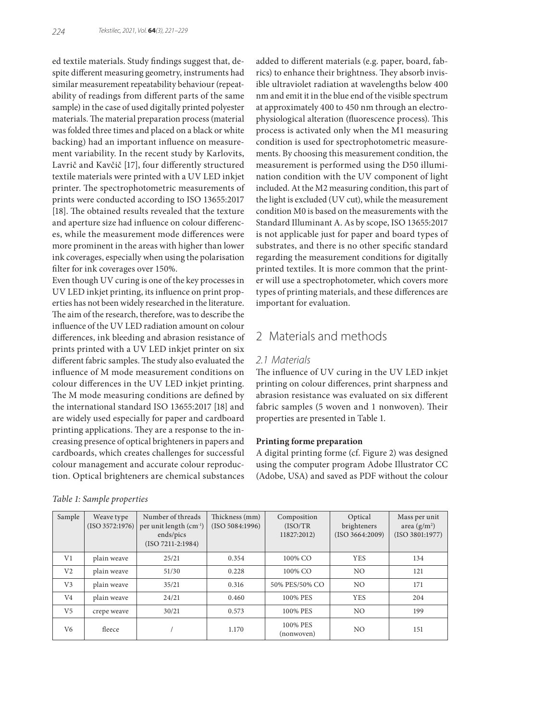ed textile materials. Study findings suggest that, despite different measuring geometry, instruments had similar measurement repeatability behaviour (repeatability of readings from different parts of the same sample) in the case of used digitally printed polyester materials. The material preparation process (material was folded three times and placed on a black or white backing) had an important influence on measurement variability. In the recent study by Karlovits, Lavrič and Kavčič [17], four differently structured textile materials were printed with a UV LED inkjet printer. The spectrophotometric measurements of prints were conducted according to ISO 13655:2017 [18]. The obtained results revealed that the texture and aperture size had influence on colour differences, while the measurement mode differences were more prominent in the areas with higher than lower ink coverages, especially when using the polarisation filter for ink coverages over 150%.

Even though UV curing is one of the key processes in UV LED inkjet printing, its influence on print properties has not been widely researched in the literature. The aim of the research, therefore, was to describe the influence of the UV LED radiation amount on colour differences, ink bleeding and abrasion resistance of prints printed with a UV LED inkjet printer on six different fabric samples. The study also evaluated the influence of M mode measurement conditions on colour differences in the UV LED inkjet printing. The M mode measuring conditions are defined by the international standard ISO 13655:2017 [18] and are widely used especially for paper and cardboard printing applications. They are a response to the increasing presence of optical brighteners in papers and cardboards, which creates challenges for successful colour management and accurate colour reproduction. Optical brighteners are chemical substances

added to different materials (e.g. paper, board, fabrics) to enhance their brightness. They absorb invisible ultraviolet radiation at wavelengths below 400 nm and emit it in the blue end of the visible spectrum at approximately 400 to 450 nm through an electrophysiological alteration (fluorescence process). This process is activated only when the M1 measuring condition is used for spectrophotometric measurements. By choosing this measurement condition, the measurement is performed using the D50 illumination condition with the UV component of light included. At the M2 measuring condition, this part of the light is excluded (UV cut), while the measurement condition M0 is based on the measurements with the Standard Illuminant A. As by scope, ISO 13655:2017 is not applicable just for paper and board types of substrates, and there is no other specific standard regarding the measurement conditions for digitally printed textiles. It is more common that the printer will use a spectrophotometer, which covers more types of printing materials, and these differences are important for evaluation.

# 2 Materials and methods

### *2.1 Materials*

The influence of UV curing in the UV LED inkjet printing on colour differences, print sharpness and abrasion resistance was evaluated on six different fabric samples (5 woven and 1 nonwoven). Their properties are presented in Table 1.

#### **Printing forme preparation**

A digital printing forme (cf. Figure 2) was designed using the computer program Adobe Illustrator CC (Adobe, USA) and saved as PDF without the colour

| Sample         | Weave type<br>(ISO 3572:1976) | Number of threads<br>per unit length $(cm^{-1})$<br>ends/pics<br>$(ISO 7211-2:1984)$ | Thickness (mm)<br>(ISO 5084:1996) | Composition<br>(ISO/TR)<br>11827:2012) | Optical<br>brighteners<br>(ISO 3664:2009) | Mass per unit<br>area $(g/m^2)$<br>(ISO 3801:1977) |
|----------------|-------------------------------|--------------------------------------------------------------------------------------|-----------------------------------|----------------------------------------|-------------------------------------------|----------------------------------------------------|
| V1             | plain weave                   | 25/21                                                                                | 0.354                             | 100% CO                                | <b>YES</b>                                | 134                                                |
| V <sub>2</sub> | plain weave                   | 51/30                                                                                | 0.228                             | 100% CO                                | NO.                                       | 121                                                |
| V <sub>3</sub> | plain weave                   | 35/21                                                                                | 0.316                             | 50% PES/50% CO                         | NO.                                       | 171                                                |
| V <sub>4</sub> | plain weave                   | 24/21                                                                                | 0.460                             | 100% PES                               | <b>YES</b>                                | 204                                                |
| V <sub>5</sub> | crepe weave                   | 30/21                                                                                | 0.573                             | 100% PES                               | NO.                                       | 199                                                |
| V6             | fleece                        |                                                                                      | 1.170                             | 100% PES<br>(nonwoven)                 | NO.                                       | 151                                                |

*Table 1: Sample properties*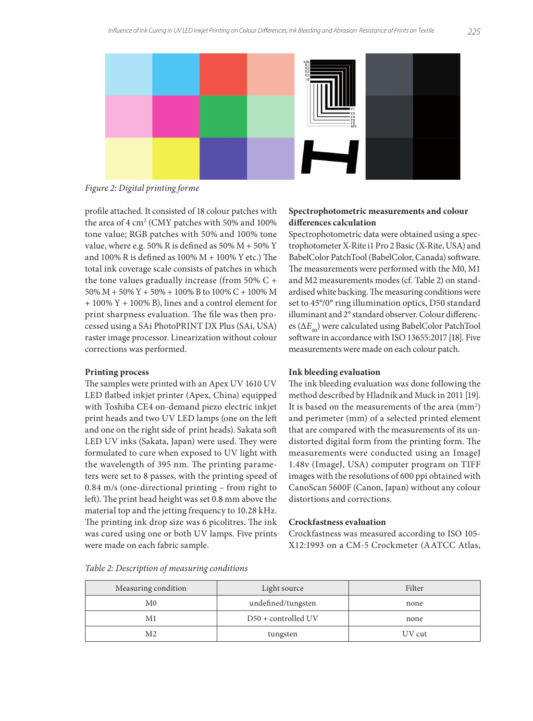

*Figure 2: Digital printing forme*

profile attached. It consisted of 18 colour patches with the area of 4 cm2 (CMY patches with 50% and 100% tone value; RGB patches with 50% and 100% tone value, where e.g. 50% R is defined as 50%  $M + 50%$  Y and  $100\%$  R is defined as  $100\%$  M +  $100\%$  Y etc.) The total ink coverage scale consists of patches in which the tone values gradually increase (from 50% C + 50% M + 50% Y + 50% + 100% B to 100% C + 100% M + 100% Y + 100% B), lines and a control element for print sharpness evaluation. The file was then processed using a SAi PhotoPRINT DX Plus (SAi, USA) raster image processor. Linearization without colour corrections was performed.

#### **Printing process**

The samples were printed with an Apex UV 1610 UV LED flatbed inkjet printer (Apex, China) equipped with Toshiba CE4 on-demand piezo electric inkjet print heads and two UV LED lamps (one on the left and one on the right side of print heads). Sakata soft LED UV inks (Sakata, Japan) were used. They were formulated to cure when exposed to UV light with the wavelength of 395 nm. The printing parameters were set to 8 passes, with the printing speed of 0.84 m/s (one-directional printing – from right to left). The print head height was set 0.8 mm above the material top and the jetting frequency to 10.28 kHz. The printing ink drop size was 6 picolitres. The ink was cured using one or both UV lamps. Five prints were made on each fabric sample.

### **Spectrophotometric measurements and colour differences calculation**

Spectrophotometric data were obtained using a spectrophotometer X-Rite i1 Pro 2 Basic (X-Rite, USA) and BabelColor PatchTool (BabelColor, Canada) software. The measurements were performed with the M0, M1 and M2 measurements modes (cf. Table 2) on standardised white backing. The measuring conditions were set to 45°/0° ring illumination optics, D50 standard illuminant and 2° standard observer. Colour differences (Δ*E*<sub>00</sub>) were calculated using BabelColor PatchTool software in accordance with ISO 13655:2017 [18]. Five measurements were made on each colour patch.

#### **Ink bleeding evaluation**

The ink bleeding evaluation was done following the method described by Hladnik and Muck in 2011 [19]. It is based on the measurements of the area  $\text{(mm)}$ ? and perimeter (mm) of a selected printed element that are compared with the measurements of its undistorted digital form from the printing form. The measurements were conducted using an ImageJ 1.48v (ImageJ, USA) computer program on TIFF images with the resolutions of 600 ppi obtained with CanoScan 5600F (Canon, Japan) without any colour distortions and corrections.

### **Crockfastness evaluation**

Crockfastness was measured according to ISO 105- X12:1993 on a CM-5 Crockmeter (AATCC Atlas,

| Measuring condition | Light source          | Filter |
|---------------------|-----------------------|--------|
| M <sub>0</sub>      | undefined/tungsten    | none   |
| Μ1                  | $D50 + controlled UV$ | none   |
| M2                  | tungsten              | UV cut |

#### *Table 2: Description of measuring conditions*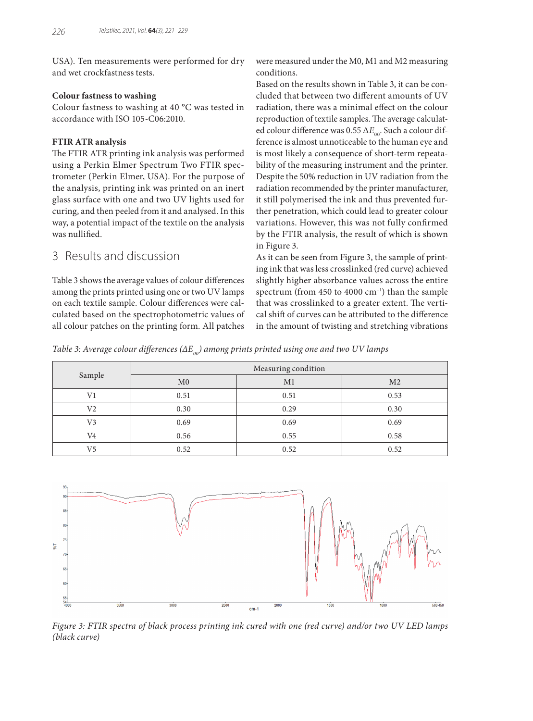USA). Ten measurements were performed for dry and wet crockfastness tests.

### **Colour fastness to washing**

Colour fastness to washing at 40 °C was tested in accordance with ISO 105-C06:2010.

### **FTIR ATR analysis**

The FTIR ATR printing ink analysis was performed using a Perkin Elmer Spectrum Two FTIR spectrometer (Perkin Elmer, USA). For the purpose of the analysis, printing ink was printed on an inert glass surface with one and two UV lights used for curing, and then peeled from it and analysed. In this way, a potential impact of the textile on the analysis was nullified.

# 3 Results and discussion

Table 3 shows the average values of colour differences among the prints printed using one or two UV lamps on each textile sample. Colour differences were calculated based on the spectrophotometric values of all colour patches on the printing form. All patches

were measured under the M0, M1 and M2 measuring conditions.

Based on the results shown in Table 3, it can be concluded that between two different amounts of UV radiation, there was a minimal effect on the colour reproduction of textile samples. The average calculated colour difference was 0.55 Δ*E*<sub>00</sub>. Such a colour difference is almost unnoticeable to the human eye and is most likely a consequence of short-term repeatability of the measuring instrument and the printer. Despite the 50% reduction in UV radiation from the radiation recommended by the printer manufacturer, it still polymerised the ink and thus prevented further penetration, which could lead to greater colour variations. However, this was not fully confirmed by the FTIR analysis, the result of which is shown in Figure 3.

As it can be seen from Figure 3, the sample of printing ink that was less crosslinked (red curve) achieved slightly higher absorbance values across the entire spectrum (from  $450$  to  $4000 \text{ cm}^{-1}$ ) than the sample that was crosslinked to a greater extent. The vertical shift of curves can be attributed to the difference in the amount of twisting and stretching vibrations

*Table 3: Average colour differences (ΔE<sub>00</sub>) among prints printed using one and two UV lamps* 

|                | Measuring condition |      |                |  |
|----------------|---------------------|------|----------------|--|
| Sample         | M <sub>0</sub>      | M1   | M <sub>2</sub> |  |
| V1             | 0.51                | 0.51 | 0.53           |  |
| V <sub>2</sub> | 0.30                | 0.29 | 0.30           |  |
| V <sub>3</sub> | 0.69                | 0.69 | 0.69           |  |
| V4             | 0.56                | 0.55 | 0.58           |  |
| V5             | 0.52                | 0.52 | 0.52           |  |



*Figure 3: FTIR spectra of black process printing ink cured with one (red curve) and/or two UV LED lamps (black curve)*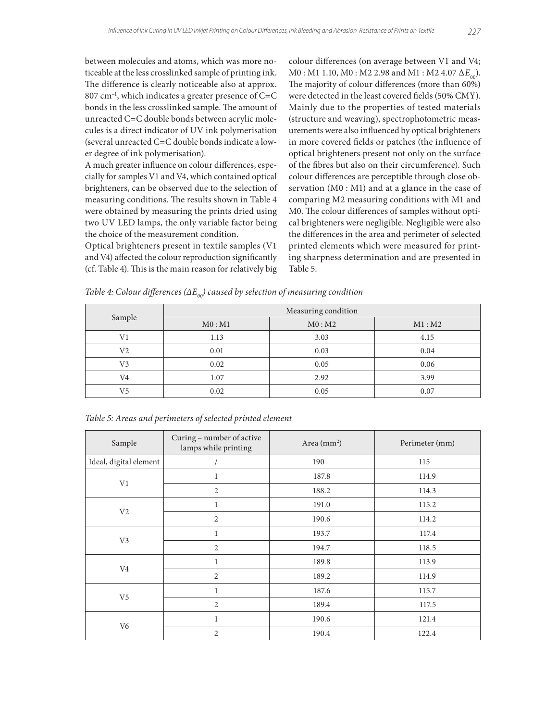between molecules and atoms, which was more noticeable at the less crosslinked sample of printing ink. The difference is clearly noticeable also at approx.  $807$  cm<sup>-1</sup>, which indicates a greater presence of C=C bonds in the less crosslinked sample. The amount of unreacted C=C double bonds between acrylic molecules is a direct indicator of UV ink polymerisation (several unreacted C=C double bonds indicate a lower degree of ink polymerisation).

A much greater influence on colour differences, especially for samples V1 and V4, which contained optical brighteners, can be observed due to the selection of measuring conditions. The results shown in Table 4 were obtained by measuring the prints dried using two UV LED lamps, the only variable factor being the choice of the measurement condition.

Optical brighteners present in textile samples (V1 and V4) affected the colour reproduction significantly (cf. Table 4). This is the main reason for relatively big colour differences (on average between V1 and V4;  $M0$  : M1 1.10, M0 : M2 2.98 and M1 : M2 4.07 Δ*E*<sub>00</sub>). The majority of colour differences (more than 60%) were detected in the least covered fields (50% CMY). Mainly due to the properties of tested materials (structure and weaving), spectrophotometric measurements were also influenced by optical brighteners in more covered fields or patches (the influence of optical brighteners present not only on the surface of the fibres but also on their circumference). Such colour differences are perceptible through close observation (M0 : M1) and at a glance in the case of comparing M2 measuring conditions with M1 and M0. The colour differences of samples without optical brighteners were negligible. Negligible were also the differences in the area and perimeter of selected printed elements which were measured for printing sharpness determination and are presented in Table 5.

| Sample         | Measuring condition |        |        |  |
|----------------|---------------------|--------|--------|--|
|                | M0: M1              | M0: M2 | M1: M2 |  |
| V <sub>1</sub> | 1.13                | 3.03   | 4.15   |  |
| V2             | 0.01                | 0.03   | 0.04   |  |
| V <sub>3</sub> | 0.02                | 0.05   | 0.06   |  |
| V4             | 1.07                | 2.92   | 3.99   |  |
| V5             | 0.02                | 0.05   | 0.07   |  |

*Table 4: Colour differences (ΔE<sub>00</sub>) caused by selection of measuring condition* 

| Sample                 | Curing - number of active<br>lamps while printing | Area $(mm2)$ | Perimeter (mm) |  |
|------------------------|---------------------------------------------------|--------------|----------------|--|
| Ideal, digital element |                                                   | 190          | 115            |  |
| V1                     | 1                                                 | 187.8        | 114.9          |  |
|                        | $\overline{2}$                                    | 188.2        | 114.3          |  |
|                        | $\mathbf{1}$                                      | 191.0        | 115.2          |  |
| V <sub>2</sub>         | 2                                                 | 190.6        | 114.2          |  |
|                        | $\mathbf{1}$                                      | 193.7        | 117.4          |  |
| V <sub>3</sub>         | 2                                                 | 194.7        | 118.5          |  |
|                        | $\mathbf{1}$                                      | 189.8        | 113.9          |  |
| V4                     | $\overline{2}$                                    | 189.2        | 114.9          |  |
|                        | $\mathbf{1}$                                      | 187.6        | 115.7          |  |
| V <sub>5</sub>         | 2                                                 | 189.4        | 117.5          |  |
|                        | $\mathbf{1}$                                      | 190.6        | 121.4          |  |
| V <sub>6</sub>         | $\overline{2}$                                    | 190.4        | 122.4          |  |

*Table 5: Areas and perimeters of selected printed element*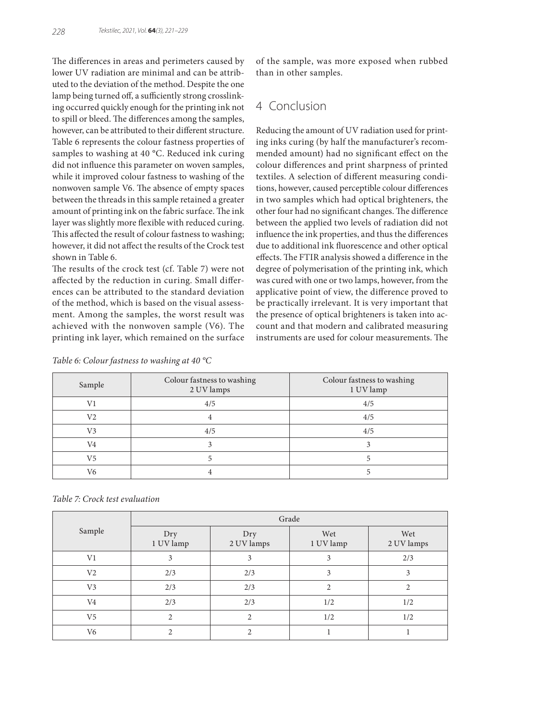The differences in areas and perimeters caused by lower UV radiation are minimal and can be attributed to the deviation of the method. Despite the one lamp being turned off, a sufficiently strong crosslinking occurred quickly enough for the printing ink not to spill or bleed. The differences among the samples, however, can be attributed to their different structure. Table 6 represents the colour fastness properties of samples to washing at 40 °C. Reduced ink curing did not influence this parameter on woven samples, while it improved colour fastness to washing of the nonwoven sample V6. The absence of empty spaces between the threads in this sample retained a greater amount of printing ink on the fabric surface. The ink layer was slightly more flexible with reduced curing. This affected the result of colour fastness to washing; however, it did not affect the results of the Crock test shown in Table 6.

The results of the crock test (cf. Table 7) were not affected by the reduction in curing. Small differences can be attributed to the standard deviation of the method, which is based on the visual assessment. Among the samples, the worst result was achieved with the nonwoven sample (V6). The printing ink layer, which remained on the surface of the sample, was more exposed when rubbed than in other samples.

# 4 Conclusion

Reducing the amount of UV radiation used for printing inks curing (by half the manufacturer's recommended amount) had no significant effect on the colour differences and print sharpness of printed textiles. A selection of different measuring conditions, however, caused perceptible colour differences in two samples which had optical brighteners, the other four had no significant changes. The difference between the applied two levels of radiation did not influence the ink properties, and thus the differences due to additional ink fluorescence and other optical effects. The FTIR analysis showed a difference in the degree of polymerisation of the printing ink, which was cured with one or two lamps, however, from the applicative point of view, the difference proved to be practically irrelevant. It is very important that the presence of optical brighteners is taken into account and that modern and calibrated measuring instruments are used for colour measurements. The

| Sample         | Colour fastness to washing<br>2 UV lamps | Colour fastness to washing<br>1 UV lamp |
|----------------|------------------------------------------|-----------------------------------------|
| V1             | 4/5                                      | 4/5                                     |
| V <sub>2</sub> |                                          | 4/5                                     |
| V <sub>3</sub> | 4/5                                      | 4/5                                     |
| V <sub>4</sub> |                                          |                                         |
| V <sub>5</sub> |                                          |                                         |
| V6             |                                          |                                         |

*Table 6: Colour fastness to washing at 40 °C*

### *Table 7: Crock test evaluation*

|                | Grade            |                   |                  |                   |
|----------------|------------------|-------------------|------------------|-------------------|
| Sample         | Dry<br>1 UV lamp | Dry<br>2 UV lamps | Wet<br>1 UV lamp | Wet<br>2 UV lamps |
| V1             | 3                | 3                 | 3                | 2/3               |
| V <sub>2</sub> | 2/3              | 2/3               | 3                | 3                 |
| V <sub>3</sub> | 2/3              | 2/3               | $\mathfrak{D}$   | $\mathfrak{D}$    |
| V4             | 2/3              | 2/3               | 1/2              | 1/2               |
| V5             | $\overline{c}$   | $\mathfrak{D}$    | 1/2              | 1/2               |
| V <sub>6</sub> |                  | າ                 |                  |                   |